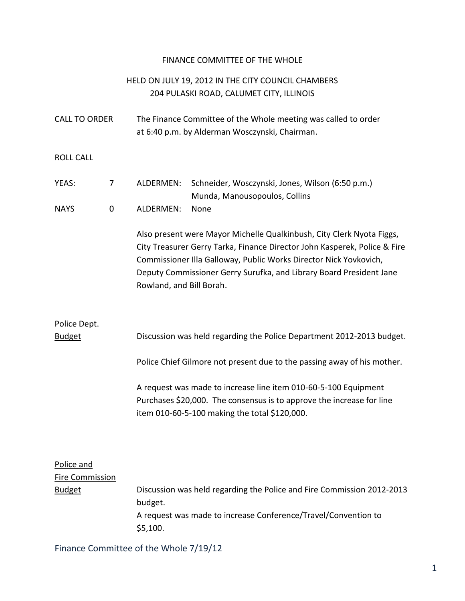### FINANCE COMMITTEE OF THE WHOLE

## HELD ON JULY 19, 2012 IN THE CITY COUNCIL CHAMBERS 204 PULASKI ROAD, CALUMET CITY, ILLINOIS

| <b>CALL TO ORDER</b> | The Finance Committee of the Whole meeting was called to order |
|----------------------|----------------------------------------------------------------|
|                      | at 6:40 p.m. by Alderman Wosczynski, Chairman.                 |

ROLL CALL

| YEAS:       |                | ALDERMEN: Schneider, Wosczynski, Jones, Wilson (6:50 p.m.) |
|-------------|----------------|------------------------------------------------------------|
|             |                | Munda, Manousopoulos, Collins                              |
| <b>NAYS</b> | ALDERMEN: None |                                                            |

Also present were Mayor Michelle Qualkinbush, City Clerk Nyota Figgs, City Treasurer Gerry Tarka, Finance Director John Kasperek, Police & Fire Commissioner Illa Galloway, Public Works Director Nick Yovkovich, Deputy Commissioner Gerry Surufka, and Library Board President Jane Rowland, and Bill Borah.

## Police Dept. Budget Discussion was held regarding the Police Department 2012-2013 budget.

Police Chief Gilmore not present due to the passing away of his mother.

A request was made to increase line item 010-60-5-100 Equipment Purchases \$20,000. The consensus is to approve the increase for line item 010-60-5-100 making the total \$120,000.

### Police and

Fire Commission Budget **Discussion was held regarding the Police and Fire Commission 2012-2013** budget. A request was made to increase Conference/Travel/Convention to \$5,100.

Finance Committee of the Whole 7/19/12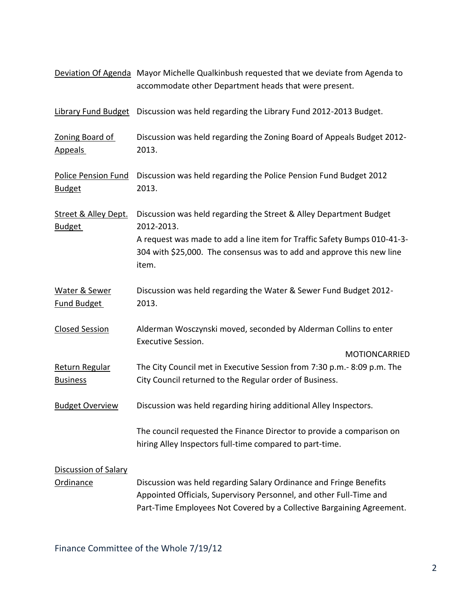|                                                  | Deviation Of Agenda Mayor Michelle Qualkinbush requested that we deviate from Agenda to<br>accommodate other Department heads that were present.                                                                   |  |  |
|--------------------------------------------------|--------------------------------------------------------------------------------------------------------------------------------------------------------------------------------------------------------------------|--|--|
| <b>Library Fund Budget</b>                       | Discussion was held regarding the Library Fund 2012-2013 Budget.                                                                                                                                                   |  |  |
| Zoning Board of<br><b>Appeals</b>                | Discussion was held regarding the Zoning Board of Appeals Budget 2012-<br>2013.                                                                                                                                    |  |  |
| <b>Police Pension Fund</b><br><b>Budget</b>      | Discussion was held regarding the Police Pension Fund Budget 2012<br>2013.                                                                                                                                         |  |  |
| <b>Street &amp; Alley Dept.</b><br><b>Budget</b> | Discussion was held regarding the Street & Alley Department Budget<br>2012-2013.                                                                                                                                   |  |  |
|                                                  | A request was made to add a line item for Traffic Safety Bumps 010-41-3-<br>304 with \$25,000. The consensus was to add and approve this new line<br>item.                                                         |  |  |
| Water & Sewer<br><b>Fund Budget</b>              | Discussion was held regarding the Water & Sewer Fund Budget 2012-<br>2013.                                                                                                                                         |  |  |
| <b>Closed Session</b>                            | Alderman Wosczynski moved, seconded by Alderman Collins to enter<br><b>Executive Session.</b>                                                                                                                      |  |  |
|                                                  | <b>MOTIONCARRIED</b>                                                                                                                                                                                               |  |  |
| Return Regular<br><b>Business</b>                | The City Council met in Executive Session from 7:30 p.m.- 8:09 p.m. The<br>City Council returned to the Regular order of Business.                                                                                 |  |  |
| <b>Budget Overview</b>                           | Discussion was held regarding hiring additional Alley Inspectors.                                                                                                                                                  |  |  |
|                                                  | The council requested the Finance Director to provide a comparison on<br>hiring Alley Inspectors full-time compared to part-time.                                                                                  |  |  |
| <b>Discussion of Salary</b><br><b>Ordinance</b>  | Discussion was held regarding Salary Ordinance and Fringe Benefits<br>Appointed Officials, Supervisory Personnel, and other Full-Time and<br>Part-Time Employees Not Covered by a Collective Bargaining Agreement. |  |  |

Finance Committee of the Whole 7/19/12